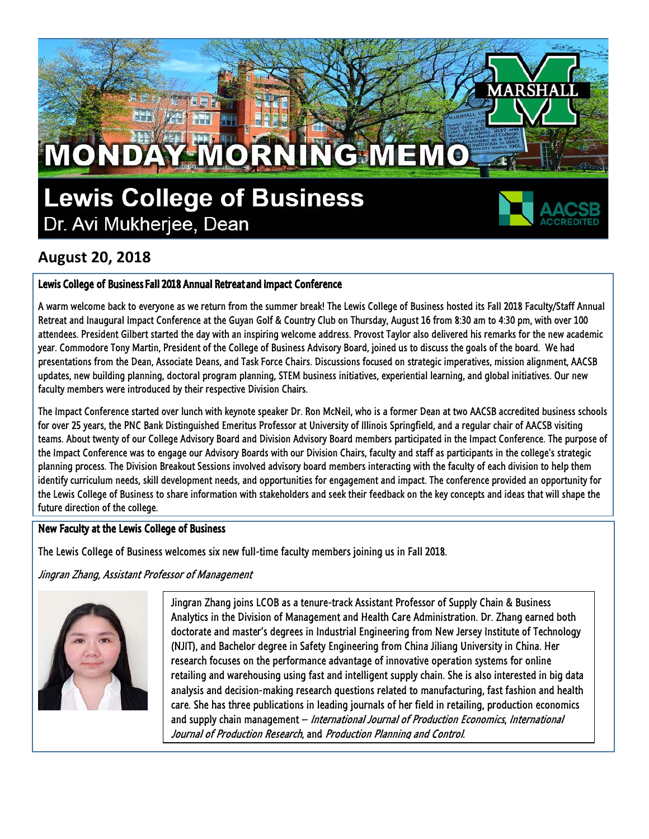## MONDAY MORNING MEMO **Lewis College of Business**

Dr. Avi Mukherjee, Dean



### **August 20, 2018**

#### Lewis College of Business Fall 2018 Annual Retreat and Impact Conference

A warm welcome back to everyone as we return from the summer break! The Lewis College of Business hosted its Fall 2018 Faculty/Staff Annual Retreat and Inaugural Impact Conference at the Guyan Golf & Country Club on Thursday, August 16 from 8:30 am to 4:30 pm, with over 100 attendees. President Gilbert started the day with an inspiring welcome address. Provost Taylor also delivered his remarks for the new academic year. Commodore Tony Martin, President of the College of Business Advisory Board, joined us to discuss the goals of the board. We had presentations from the Dean, Associate Deans, and Task Force Chairs. Discussions focused on strategic imperatives, mission alignment, AACSB updates, new building planning, doctoral program planning, STEM business initiatives, experiential learning, and global initiatives. Our new faculty members were introduced by their respective Division Chairs.

The Impact Conference started over lunch with keynote speaker Dr. Ron McNeil, who is a former Dean at two AACSB accredited business schools for over 25 years, the PNC Bank Distinguished Emeritus Professor at University of Illinois Springfield, and a regular chair of AACSB visiting teams. About twenty of our College Advisory Board and Division Advisory Board members participated in the Impact Conference. The purpose of the Impact Conference was to engage our Advisory Boards with our Division Chairs, faculty and staff as participants in the college's strategic planning process. The Division Breakout Sessions involved advisory board members interacting with the faculty of each division to help them identify curriculum needs, skill development needs, and opportunities for engagement and impact. The conference provided an opportunity for the Lewis College of Business to share information with stakeholders and seek their feedback on the key concepts and ideas that will shape the future direction of the college.

#### New Faculty at the Lewis College of Business

The Lewis College of Business welcomes six new full-time faculty members joining us in Fall 2018.

Jingran Zhang, Assistant Professor of Management



Jingran Zhang joins LCOB as a tenure-track Assistant Professor of Supply Chain & Business Analytics in the Division of Management and Health Care Administration. Dr. Zhang earned both doctorate and master's degrees in Industrial Engineering from New Jersey Institute of Technology (NJIT), and Bachelor degree in Safety Engineering from China Jiliang University in China. Her research focuses on the performance advantage of innovative operation systems for online retailing and warehousing using fast and intelligent supply chain. She is also interested in big data analysis and decision-making research questions related to manufacturing, fast fashion and health care. She has three publications in leading journals of her field in retailing, production economics and supply chain management – *International Journal of Production Economics, International* Journal of Production Research, and Production Planning and Control.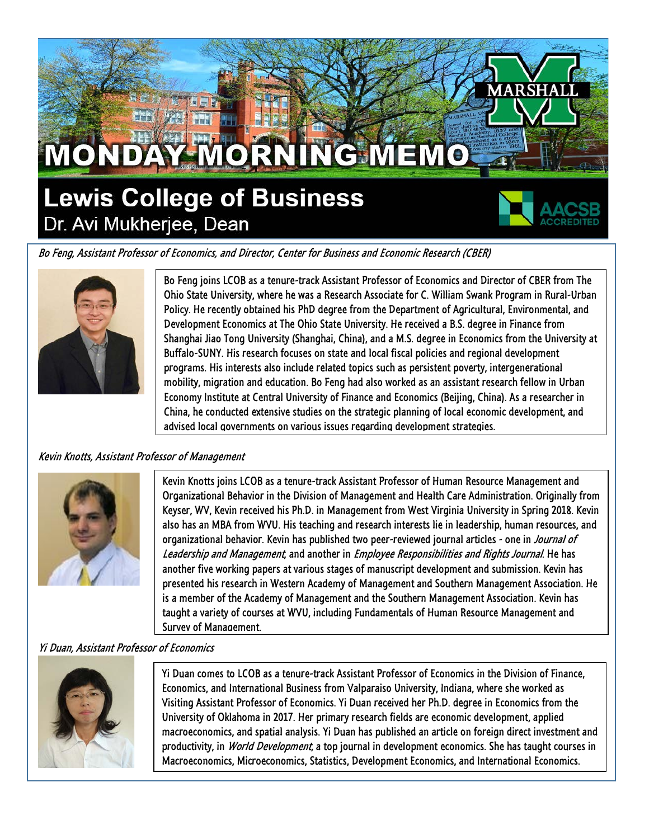

Bo Feng, Assistant Professor of Economics, and Director, Center for Business and Economic Research (CBER)



Bo Feng joins LCOB as a tenure-track Assistant Professor of Economics and Director of CBER from The Ohio State University, where he was a Research Associate for C. William Swank Program in Rural-Urban Policy. He recently obtained his PhD degree from the Department of Agricultural, Environmental, and Development Economics at The Ohio State University. He received a B.S. degree in Finance from Shanghai Jiao Tong University (Shanghai, China), and a M.S. degree in Economics from the University at Buffalo-SUNY. His research focuses on state and local fiscal policies and regional development programs. His interests also include related topics such as persistent poverty, intergenerational mobility, migration and education. Bo Feng had also worked as an assistant research fellow in Urban Economy Institute at Central University of Finance and Economics (Beijing, China). As a researcher in China, he conducted extensive studies on the strategic planning of local economic development, and advised local governments on various issues regarding development strategies.

#### Kevin Knotts, Assistant Professor of Management



Kevin Knotts joins LCOB as a tenure-track Assistant Professor of Human Resource Management and Organizational Behavior in the Division of Management and Health Care Administration. Originally from Keyser, WV, Kevin received his Ph.D. in Management from West Virginia University in Spring 2018. Kevin also has an MBA from WVU. His teaching and research interests lie in leadership, human resources, and organizational behavior. Kevin has published two peer-reviewed journal articles - one in Journal of Leadership and Management, and another in Employee Responsibilities and Rights Journal. He has another five working papers at various stages of manuscript development and submission. Kevin has presented his research in Western Academy of Management and Southern Management Association. He is a member of the Academy of Management and the Southern Management Association. Kevin has taught a variety of courses at WVU, including Fundamentals of Human Resource Management and Survey of Management.

#### Yi Duan, Assistant Professor of Economics



Yi Duan comes to LCOB as a tenure-track Assistant Professor of Economics in the Division of Finance, Economics, and International Business from Valparaiso University, Indiana, where she worked as Visiting Assistant Professor of Economics. Yi Duan received her Ph.D. degree in Economics from the University of Oklahoma in 2017. Her primary research fields are economic development, applied macroeconomics, and spatial analysis. Yi Duan has published an article on foreign direct investment and productivity, in *World Development*, a top journal in development economics. She has taught courses in Macroeconomics, Microeconomics, Statistics, Development Economics, and International Economics.